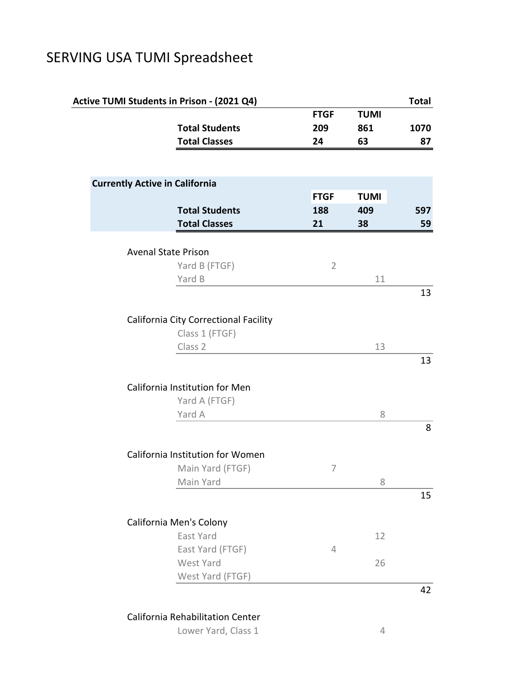## SERVING USA TUMI Spreadsheet

|                                       | Active TUMI Students in Prison - (2021 Q4) |                |             | <b>Total</b> |
|---------------------------------------|--------------------------------------------|----------------|-------------|--------------|
|                                       |                                            | <b>FTGF</b>    | <b>TUMI</b> |              |
|                                       | <b>Total Students</b>                      | 209            | 861         | 1070         |
|                                       | <b>Total Classes</b>                       | 24             | 63          | 87           |
|                                       |                                            |                |             |              |
| <b>Currently Active in California</b> |                                            |                |             |              |
|                                       |                                            | <b>FTGF</b>    | <b>TUMI</b> |              |
|                                       | <b>Total Students</b>                      | 188            | 409         | 597          |
|                                       | <b>Total Classes</b>                       | 21             | 38          | 59           |
|                                       |                                            |                |             |              |
|                                       | <b>Avenal State Prison</b>                 |                |             |              |
|                                       | Yard B (FTGF)                              | $\overline{2}$ |             |              |
|                                       | Yard B                                     |                | 11          | 13           |
|                                       |                                            |                |             |              |
|                                       | California City Correctional Facility      |                |             |              |
|                                       | Class 1 (FTGF)                             |                |             |              |
|                                       | Class 2                                    |                | 13          |              |
|                                       |                                            |                |             | 13           |
|                                       |                                            |                |             |              |
|                                       | California Institution for Men             |                |             |              |
|                                       | Yard A (FTGF)                              |                |             |              |
|                                       | Yard A                                     |                | 8           |              |
|                                       |                                            |                |             | 8            |
|                                       | California Institution for Women           |                |             |              |
|                                       | Main Yard (FTGF)                           | 7              |             |              |
|                                       | Main Yard                                  |                | 8           |              |
|                                       |                                            |                |             | 15           |
|                                       |                                            |                |             |              |
|                                       | California Men's Colony                    |                |             |              |
|                                       | East Yard                                  |                | 12          |              |
|                                       | East Yard (FTGF)                           | 4              |             |              |
|                                       | West Yard                                  |                | 26          |              |
|                                       | West Yard (FTGF)                           |                |             |              |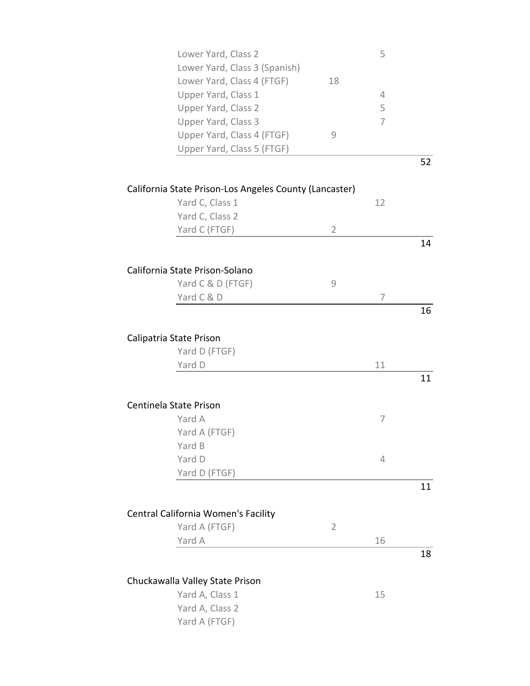| Lower Yard, Class 2                                    |                | 5  |    |
|--------------------------------------------------------|----------------|----|----|
| Lower Yard, Class 3 (Spanish)                          |                |    |    |
| Lower Yard, Class 4 (FTGF)                             | 18             |    |    |
| Upper Yard, Class 1                                    |                | 4  |    |
| <b>Upper Yard, Class 2</b>                             |                | 5  |    |
| Upper Yard, Class 3                                    |                | 7  |    |
| Upper Yard, Class 4 (FTGF)                             | 9              |    |    |
| Upper Yard, Class 5 (FTGF)                             |                |    |    |
|                                                        |                |    | 52 |
|                                                        |                |    |    |
| California State Prison-Los Angeles County (Lancaster) |                |    |    |
| Yard C, Class 1                                        |                | 12 |    |
| Yard C, Class 2                                        |                |    |    |
| Yard C (FTGF)                                          | $\overline{2}$ |    |    |
|                                                        |                |    | 14 |
| California State Prison-Solano                         |                |    |    |
| Yard C & D (FTGF)                                      | 9              |    |    |
| Yard C & D                                             |                | 7  |    |
|                                                        |                |    | 16 |
|                                                        |                |    |    |
| Calipatria State Prison                                |                |    |    |
| Yard D (FTGF)                                          |                |    |    |
| Yard D                                                 |                | 11 |    |
|                                                        |                |    | 11 |
|                                                        |                |    |    |
| Centinela State Prison                                 |                |    |    |
| Yard A                                                 |                | 7  |    |
| Yard A (FTGF)                                          |                |    |    |
| Yard B                                                 |                |    |    |
| Yard D                                                 |                | 4  |    |
| Yard D (FTGF)                                          |                |    |    |
|                                                        |                |    | 11 |
|                                                        |                |    |    |
| Central California Women's Facility                    |                |    |    |
| Yard A (FTGF)                                          | $\overline{2}$ |    |    |
| Yard A                                                 |                | 16 |    |
|                                                        |                |    | 18 |
| Chuckawalla Valley State Prison                        |                |    |    |
| Yard A, Class 1                                        |                | 15 |    |
| Yard A, Class 2                                        |                |    |    |
| Yard A (FTGF)                                          |                |    |    |
|                                                        |                |    |    |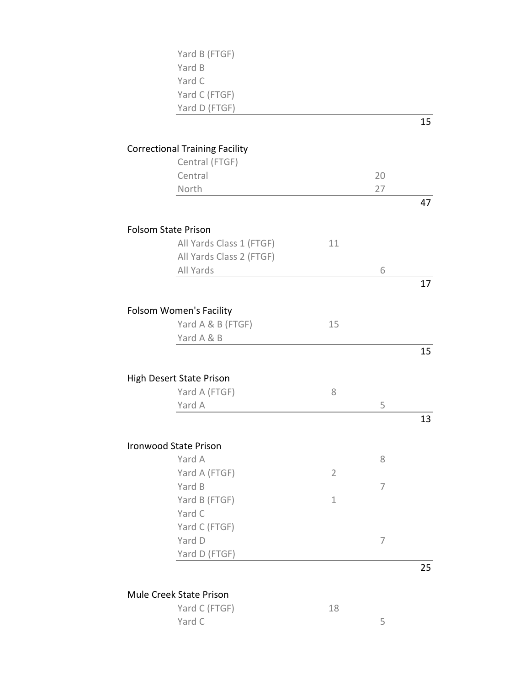| Yard B (FTGF)                         |                |    |    |
|---------------------------------------|----------------|----|----|
| Yard B                                |                |    |    |
| Yard C                                |                |    |    |
| Yard C (FTGF)                         |                |    |    |
| Yard D (FTGF)                         |                |    |    |
|                                       |                |    | 15 |
|                                       |                |    |    |
| <b>Correctional Training Facility</b> |                |    |    |
| Central (FTGF)                        |                |    |    |
| Central                               |                | 20 |    |
| North                                 |                | 27 |    |
|                                       |                |    | 47 |
| <b>Folsom State Prison</b>            |                |    |    |
| All Yards Class 1 (FTGF)              | 11             |    |    |
| All Yards Class 2 (FTGF)              |                |    |    |
| All Yards                             |                | 6  |    |
|                                       |                |    | 17 |
|                                       |                |    |    |
| <b>Folsom Women's Facility</b>        |                |    |    |
| Yard A & B (FTGF)                     | 15             |    |    |
| Yard A & B                            |                |    |    |
|                                       |                |    | 15 |
|                                       |                |    |    |
| High Desert State Prison              |                |    |    |
| Yard A (FTGF)                         | 8              |    |    |
| Yard A                                |                | 5  |    |
|                                       |                |    | 13 |
|                                       |                |    |    |
| <b>Ironwood State Prison</b>          |                |    |    |
| Yard A                                |                | 8  |    |
| Yard A (FTGF)                         | $\overline{2}$ |    |    |
| Yard B                                |                | 7  |    |
| Yard B (FTGF)                         | $\mathbf 1$    |    |    |
| Yard C                                |                |    |    |
| Yard C (FTGF)                         |                |    |    |
| Yard D                                |                | 7  |    |
| Yard D (FTGF)                         |                |    |    |
|                                       |                |    | 25 |
|                                       |                |    |    |

Mule Creek State Prison

| Yard C (FTGF) | 18 |  |
|---------------|----|--|
| Yard C        |    |  |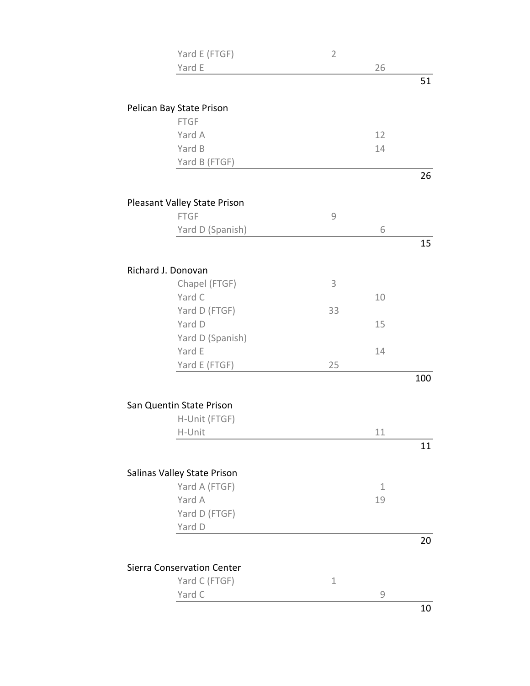| Yard E (FTGF)                           | $\overline{2}$ |    |     |
|-----------------------------------------|----------------|----|-----|
| Yard E                                  |                | 26 |     |
|                                         |                |    | 51  |
|                                         |                |    |     |
| Pelican Bay State Prison<br><b>FTGF</b> |                |    |     |
| Yard A                                  |                | 12 |     |
| Yard B                                  |                | 14 |     |
| Yard B (FTGF)                           |                |    |     |
|                                         |                |    | 26  |
|                                         |                |    |     |
| Pleasant Valley State Prison            |                |    |     |
| <b>FTGF</b>                             | $\mathcal{G}$  |    |     |
| Yard D (Spanish)                        |                | 6  |     |
|                                         |                |    | 15  |
| Richard J. Donovan                      |                |    |     |
| Chapel (FTGF)                           | 3              |    |     |
| Yard C                                  |                | 10 |     |
| Yard D (FTGF)                           | 33             |    |     |
| Yard D                                  |                | 15 |     |
| Yard D (Spanish)                        |                |    |     |
| Yard E                                  |                | 14 |     |
| Yard E (FTGF)                           | 25             |    |     |
|                                         |                |    | 100 |
|                                         |                |    |     |
| San Quentin State Prison                |                |    |     |
| H-Unit (FTGF)                           |                |    |     |
| H-Unit                                  |                | 11 |     |
|                                         |                |    | 11  |
| Salinas Valley State Prison             |                |    |     |
| Yard A (FTGF)                           |                | 1  |     |
| Yard A                                  |                | 19 |     |
| Yard D (FTGF)                           |                |    |     |
| Yard D                                  |                |    |     |
|                                         |                |    | 20  |
|                                         |                |    |     |
| Sierra Conservation Center              |                |    |     |
| Yard C (FTGF)                           | $\mathbf 1$    |    |     |
| Yard C                                  |                | 9  |     |
|                                         |                |    | 10  |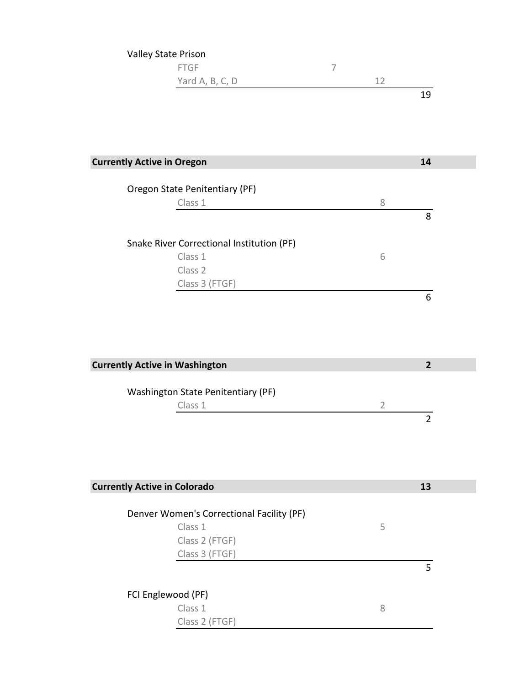| Valley State Prison |    |
|---------------------|----|
| <b>FTGF</b>         |    |
| Yard A, B, C, D     | 12 |
|                     | 19 |

| <b>Currently Active in Oregon</b>         |   | 14 |
|-------------------------------------------|---|----|
| Oregon State Penitentiary (PF)            |   |    |
| Class 1                                   | 8 |    |
|                                           |   | 8  |
| Snake River Correctional Institution (PF) |   |    |
| Class 1                                   | 6 |    |
| Class <sub>2</sub>                        |   |    |
| Class 3 (FTGF)                            |   |    |
|                                           |   | 6  |

| <b>Currently Active in Washington</b> |  |  |
|---------------------------------------|--|--|
| Washington State Penitentiary (PF)    |  |  |
| Class 1                               |  |  |
|                                       |  |  |

| <b>Currently Active in Colorado</b>       | 13 |
|-------------------------------------------|----|
| Denver Women's Correctional Facility (PF) |    |
| Class 1                                   | 5  |
| Class 2 (FTGF)                            |    |
| Class 3 (FTGF)                            |    |
|                                           | 5  |
| FCI Englewood (PF)                        |    |
| Class 1                                   | 8  |
| Class 2 (FTGF)                            |    |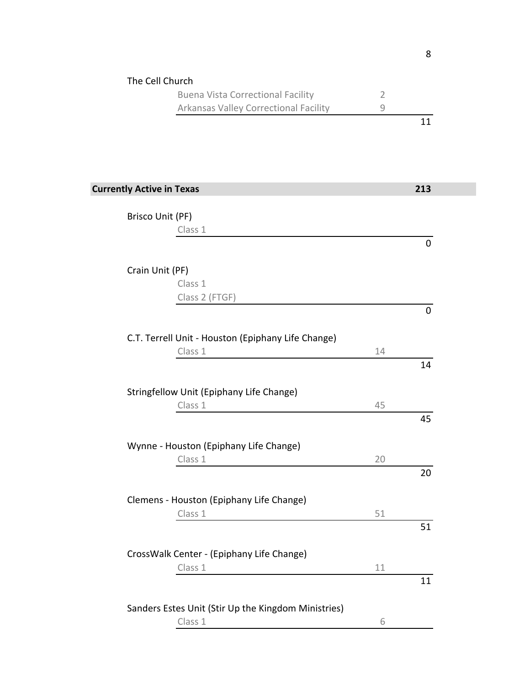| The Cell Church                                     |                |     |
|-----------------------------------------------------|----------------|-----|
| <b>Buena Vista Correctional Facility</b>            | $\overline{2}$ |     |
| Arkansas Valley Correctional Facility               | $\mathcal{G}$  |     |
|                                                     |                | 11  |
|                                                     |                |     |
|                                                     |                |     |
|                                                     |                |     |
| <b>Currently Active in Texas</b>                    |                | 213 |
| Brisco Unit (PF)                                    |                |     |
| Class 1                                             |                |     |
|                                                     |                | 0   |
|                                                     |                |     |
| Crain Unit (PF)                                     |                |     |
| Class 1                                             |                |     |
| Class 2 (FTGF)                                      |                |     |
|                                                     |                | 0   |
|                                                     |                |     |
| C.T. Terrell Unit - Houston (Epiphany Life Change)  |                |     |
| Class 1                                             | 14             |     |
|                                                     |                | 14  |
|                                                     |                |     |
| Stringfellow Unit (Epiphany Life Change)            |                |     |
| Class 1                                             | 45             |     |
|                                                     |                | 45  |
| Wynne - Houston (Epiphany Life Change)              |                |     |
| Class 1                                             | 20             |     |
|                                                     |                | 20  |
|                                                     |                |     |
| Clemens - Houston (Epiphany Life Change)            |                |     |
| Class 1                                             | 51             |     |
|                                                     |                | 51  |
|                                                     |                |     |
| CrossWalk Center - (Epiphany Life Change)           |                |     |
| Class 1                                             | 11             |     |
|                                                     |                | 11  |
|                                                     |                |     |
| Sanders Estes Unit (Stir Up the Kingdom Ministries) |                |     |
| Class 1                                             | 6              |     |

8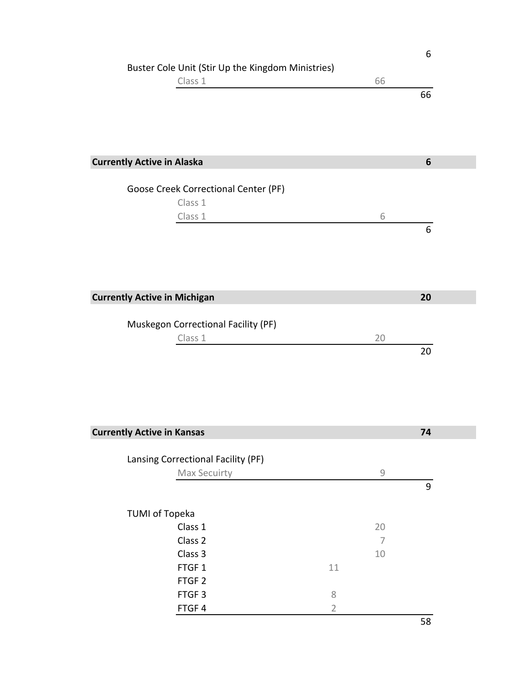|                                                   |                |                                                           | 6                |
|---------------------------------------------------|----------------|-----------------------------------------------------------|------------------|
| Buster Cole Unit (Stir Up the Kingdom Ministries) |                |                                                           |                  |
| Class 1                                           |                | 66                                                        |                  |
|                                                   |                |                                                           | 66               |
|                                                   |                |                                                           |                  |
|                                                   |                |                                                           |                  |
|                                                   |                |                                                           |                  |
|                                                   |                |                                                           |                  |
| <b>Currently Active in Alaska</b>                 |                |                                                           | $\boldsymbol{6}$ |
| Goose Creek Correctional Center (PF)              |                |                                                           |                  |
| Class 1                                           |                |                                                           |                  |
| Class 1                                           |                | 6                                                         |                  |
|                                                   |                |                                                           | 6                |
|                                                   |                |                                                           |                  |
|                                                   |                |                                                           |                  |
|                                                   |                |                                                           |                  |
|                                                   |                |                                                           |                  |
| <b>Currently Active in Michigan</b>               |                |                                                           | 20               |
|                                                   |                |                                                           |                  |
| Muskegon Correctional Facility (PF)               |                |                                                           |                  |
| Class 1                                           |                | 20                                                        |                  |
|                                                   |                |                                                           | 20               |
|                                                   |                |                                                           |                  |
|                                                   |                |                                                           |                  |
|                                                   |                |                                                           |                  |
|                                                   |                |                                                           |                  |
|                                                   |                |                                                           |                  |
| <b>Currently Active in Kansas</b>                 |                |                                                           | 74               |
|                                                   |                |                                                           |                  |
| Lansing Correctional Facility (PF)                |                |                                                           |                  |
| Max Secuirty                                      |                | $\mathcal{G}% _{M_{1},M_{2}}^{\alpha,\beta}(\varepsilon)$ |                  |
|                                                   |                |                                                           | 9                |
|                                                   |                |                                                           |                  |
| <b>TUMI of Topeka</b>                             |                |                                                           |                  |
| Class 1                                           |                | 20                                                        |                  |
| Class 2                                           |                | $\overline{7}$                                            |                  |
| Class 3                                           |                | 10                                                        |                  |
| FTGF1                                             | 11             |                                                           |                  |
| FTGF <sub>2</sub>                                 |                |                                                           |                  |
| FTGF <sub>3</sub>                                 | $\,8\,$        |                                                           |                  |
| FTGF4                                             | $\overline{2}$ |                                                           |                  |
|                                                   |                |                                                           | 58               |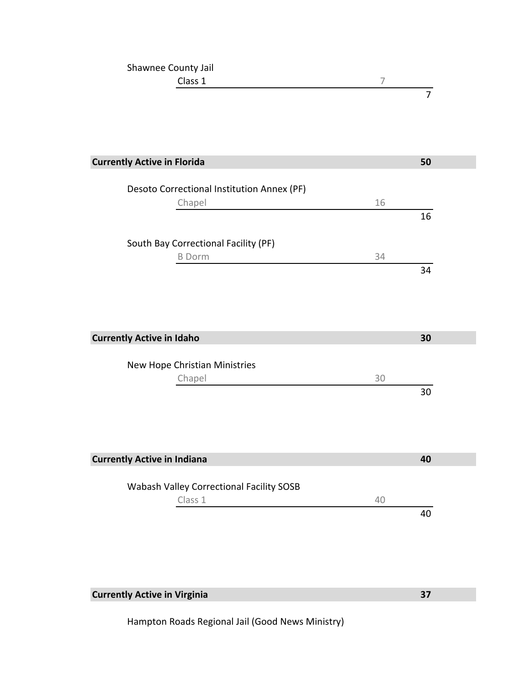| Shawnee County Jail |  |
|---------------------|--|
| Class 1             |  |
|                     |  |

| <b>Currently Active in Florida</b>                   |    | 50 |
|------------------------------------------------------|----|----|
| Desoto Correctional Institution Annex (PF)<br>Chapel | 16 |    |
|                                                      |    | 16 |
| South Bay Correctional Facility (PF)                 |    |    |
| <b>B</b> Dorm                                        | 34 | 34 |
|                                                      |    |    |
|                                                      |    |    |
| <b>Currently Active in Idaho</b>                     |    | 30 |
| New Hope Christian Ministries                        |    |    |
| Chapel                                               | 30 |    |
|                                                      |    | 30 |
|                                                      |    |    |
|                                                      |    |    |
| <b>Currently Active in Indiana</b>                   |    | 40 |
| Wabash Valley Correctional Facility SOSB             |    |    |
| Class 1                                              | 40 |    |
|                                                      |    | 40 |

**Currently Active in Virginia**

Hampton Roads Regional Jail (Good News Ministry)

**37**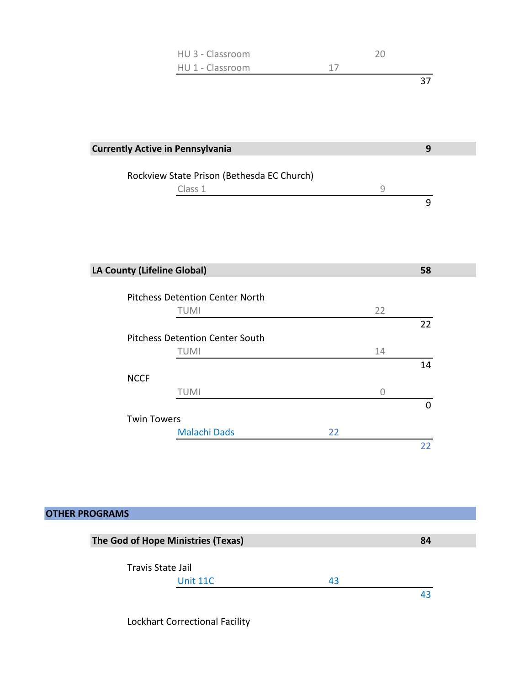| HU 3 - Classroom | ിറ |  |
|------------------|----|--|
| HU 1 - Classroom | 17 |  |
|                  |    |  |

| <b>Currently Active in Pennsylvania</b> |                                            |    |                | 9              |
|-----------------------------------------|--------------------------------------------|----|----------------|----------------|
|                                         | Rockview State Prison (Bethesda EC Church) |    |                |                |
|                                         | Class 1                                    |    | 9              |                |
|                                         |                                            |    |                | 9              |
|                                         |                                            |    |                |                |
|                                         |                                            |    |                |                |
|                                         |                                            |    |                |                |
|                                         |                                            |    |                |                |
| LA County (Lifeline Global)             |                                            |    |                | 58             |
|                                         |                                            |    |                |                |
|                                         | <b>Pitchess Detention Center North</b>     |    |                |                |
|                                         | TUMI                                       |    | 22             |                |
|                                         |                                            |    |                | 22             |
|                                         | <b>Pitchess Detention Center South</b>     |    |                |                |
|                                         | <b>TUMI</b>                                |    | 14             |                |
|                                         |                                            |    |                | 14             |
| <b>NCCF</b>                             |                                            |    |                |                |
|                                         | TUMI                                       |    | $\overline{0}$ |                |
|                                         |                                            |    |                | $\overline{0}$ |
| <b>Twin Towers</b>                      |                                            |    |                |                |
|                                         | <b>Malachi Dads</b>                        | 22 |                |                |
|                                         |                                            |    |                | 22             |

| <b>OTHER PROGRAMS</b>              |    |    |
|------------------------------------|----|----|
| The God of Hope Ministries (Texas) |    | 84 |
| Travis State Jail                  |    |    |
| Unit 11C                           | 43 |    |
|                                    |    | 43 |

Lockhart Correctional Facility